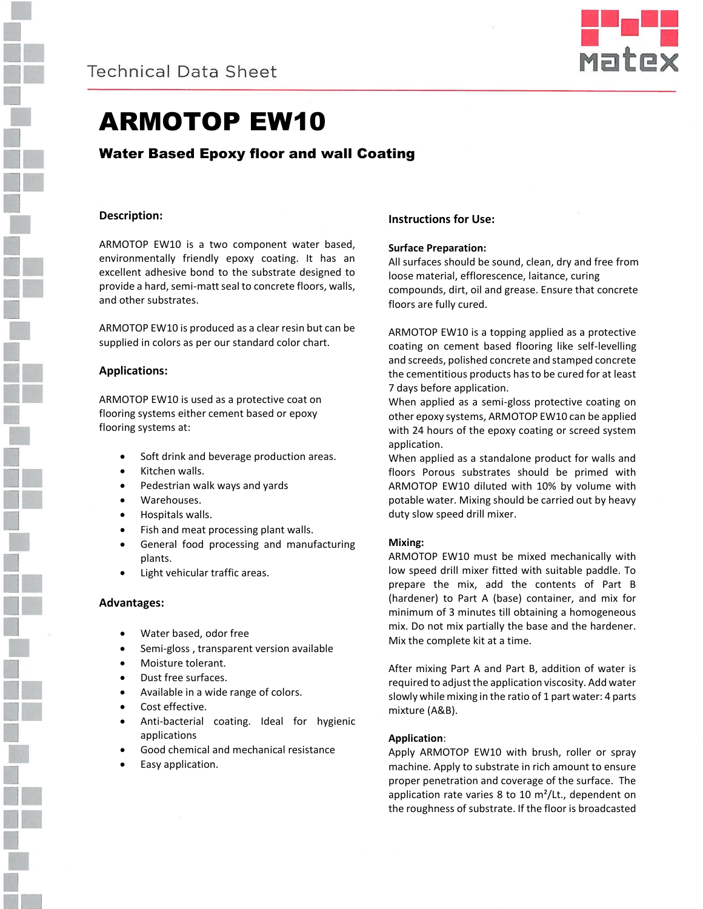



# ARMOTOP EW10

Water Based Epoxy floor and wall Coating

# **Description:**

ARMOTOP EW10 is a two component water based, environmentally friendly epoxy coating. It has an excellent adhesive bond to the substrate designed to provide a hard, semi-matt seal to concrete floors, walls, and other substrates.

ARMOTOP EW10 is produced as a clear resin but can be supplied in colors as per our standard color chart.

# **Applications:**

ARMOTOP EW10 is used as a protective coat on flooring systems either cement based or epoxy flooring systems at:

- Soft drink and beverage production areas.
- Kitchen walls.
- Pedestrian walk ways and yards
- Warehouses.
- Hospitals walls.
- Fish and meat processing plant walls.
- General food processing and manufacturing plants.
- Light vehicular traffic areas.

## **Advantages:**

- Water based, odor free
- Semi-gloss , transparent version available
- Moisture tolerant.
- Dust free surfaces.
- Available in a wide range of colors.
- Cost effective.
- Anti-bacterial coating. Ideal for hygienic applications
- Good chemical and mechanical resistance
- Easy application.

## **Instructions for Use:**

#### **Surface Preparation:**

All surfaces should be sound, clean, dry and free from loose material, efflorescence, laitance, curing compounds, dirt, oil and grease. Ensure that concrete floors are fully cured.

ARMOTOP EW10 is a topping applied as a protective coating on cement based flooring like self-levelling and screeds, polished concrete and stamped concrete the cementitious products has to be cured for at least 7 days before application.

When applied as a semi-gloss protective coating on other epoxy systems, ARMOTOP EW10 can be applied with 24 hours of the epoxy coating or screed system application.

When applied as a standalone product for walls and floors Porous substrates should be primed with ARMOTOP EW10 diluted with 10% by volume with potable water. Mixing should be carried out by heavy duty slow speed drill mixer.

## **Mixing:**

ARMOTOP EW10 must be mixed mechanically with low speed drill mixer fitted with suitable paddle. To prepare the mix, add the contents of Part B (hardener) to Part A (base) container, and mix for minimum of 3 minutes till obtaining a homogeneous mix. Do not mix partially the base and the hardener. Mix the complete kit at a time.

After mixing Part A and Part B, addition of water is required to adjust the application viscosity. Add water slowly while mixing in the ratio of 1 part water: 4 parts mixture (A&B).

## **Application**:

Apply ARMOTOP EW10 with brush, roller or spray machine. Apply to substrate in rich amount to ensure proper penetration and coverage of the surface. The application rate varies 8 to 10 m²/Lt., dependent on the roughness of substrate. If the floor is broadcasted